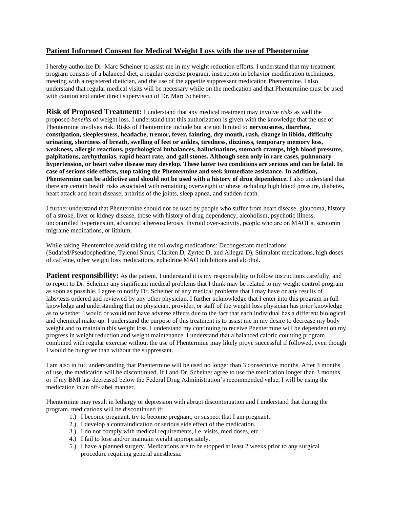## **Patient Informed Consent for Medical Weight Loss with the use of Phentermine**

I hereby authorize Dr. Marc Scheiner to assist me in my weight reduction efforts. I understand that my treatment program consists of a balanced diet, a regular exercise program, instruction in behavior modification techniques, meeting with a registered dietician, and the use of the appetite suppressant medication Phentermine. I also understand that regular medical visits will be necessary while on the medication and that Phentermine must be used with caution and under direct supervision of Dr. Marc Scheiner.

**Risk of Proposed Treatment:** I understand that any medical treatment may involve *risks* as well the proposed *benefits* of weight loss. I understand that this authorization is given with the knowledge that the use of Phentermine involves risk. Risks of Phentermine include but are not limited to **nervousness, diarrhea, constipation, sleeplessness, headache, tremor, fever, fainting, dry mouth, rash, change in libido, difficulty urinating, shortness of breath, swelling of feet or ankles, tiredness, dizziness, temporary memory loss, weakness, allergic reactions, psychological imbalances, hallucinations, stomach cramps, high blood pressure, palpitations, arrhythmias, rapid heart rate, and gall stones. Although seen only in rare cases, pulmonary hypertension, or heart valve disease may develop. These latter two conditions are serious and can be fatal. In case of serious side effects, stop taking the Phentermine and seek immediate assistance. In addition, Phentermine can be addictive and should not be used with a history of drug dependence.** I also understand that there are certain health risks associated with remaining overweight or obese including high blood pressure, diabetes, heart attack and heart disease, arthritis of the joints, sleep apnea, and sudden death.

I further understand that Phentermine should not be used by people who suffer from heart disease, glaucoma, history of a stroke, liver or kidney disease, those with history of drug dependency, alcoholism, psychotic illness, uncontrolled hypertension, advanced athereosclerosis, thyroid over-activity, people who are on MAOI's, serotonin migraine medications, or lithium.

While taking Phentermine avoid taking the following medications: Decongestant medications (Sudafed/Pseudoephedrine, Tylenol Sinus, Clariten D, Zyrtec D, and Allegra D), Stimulant medications, high doses of caffeine, other weight loss medications, ephedrine MAO inhibitions and alcohol.

**Patient responsibility:** As the patient, I understand it is my responsibility to follow instructions carefully, and to report to Dr. Scheiner any significant medical problems that I think may be related to my weight control program as soon as possible. I agree to notify Dr. Scheiner of any medical problems that I may have or any results of labs/tests ordered and reviewed by any other physician. I further acknowledge that I enter into this program in full knowledge and understanding that no physician, provider, or staff of the weight loss physician has prior knowledge as to whether I would or would not have adverse effects due to the fact that each individual has a different biological and chemical make-up. I understand the purpose of this treatment is to assist me in my desire to decrease my body weight and to maintain this weight loss. I understand my continuing to receive Phentermine will be dependent on my progress in weight reduction and weight maintenance. I understand that a balanced caloric counting program combined with regular exercise without the use of Phentermine may likely prove successful if followed, even though I would be hungrier than without the suppressant.

I am also in full understanding that Phentermine will be used no longer than 3 consecutive months. After 3 months of use, the medication will be discontinued. If I and Dr. Scheiner agree to use the medication longer than 3 months or if my BMI has decreased below the Federal Drug Administration's recommended value, I will be using the medication in an off-label manner.

Phentermine may result in lethargy or depression with abrupt discontinuation and I understand that during the program, medications will be discontinued if:

- 1.) I become pregnant, try to become pregnant, or suspect that I am pregnant.
- 2.) I develop a contraindication or serious side effect of the medication.
- 3.) I do not comply with medical requirements, i.e. visits, med doses, etc.
- 4.) I fail to lose and/or maintain weight appropriately.
- 5.) I have a planned surgery. Medications are to be stopped at least 2 weeks prior to any surgical procedure requiring general anesthesia.